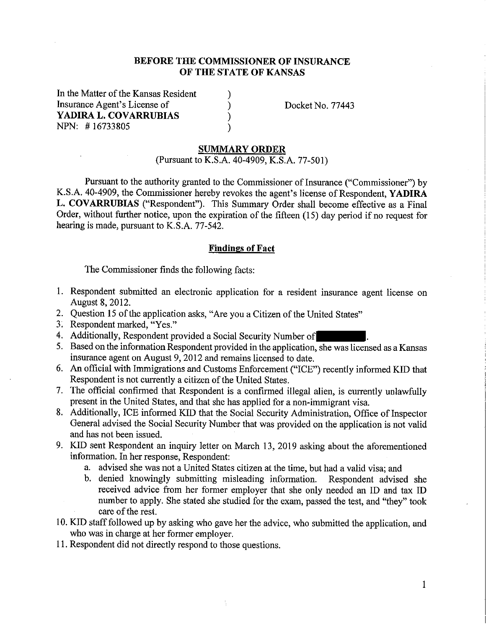### **BEFORE THE COMMISSIONER OF INSURANCE OF THE STATE OF KANSAS**

) ) ) )

In the Matter of the Kansas Resident Insurance Agent's License of **YADIRA L. COVARRUBIAS**  NPN: # 16733805

Docket No. 77443

### **SUMMARY ORDER**

(Pursuant to K.S.A. 40-4909, K.S.A. 77-501)

Pursuant to the authority granted to the Commissioner of Insurance ("Commissioner") by K.S.A. 40-4909, the Commissioner hereby revokes the agent's license of Respondent, **YADIRA L. COVARRUBIAS** ("Respondent"). This Summary Order shall become effective as a Final Order, without further notice, upon the expiration of the fifteen (15) day period if no request for hearing is made, pursuant to K.S.A. 77-542.

#### **Findings of Fact**

The Commissioner finds the following facts:

- 1. Respondent submitted an electronic application for a resident insurance agent license on August 8, 2012.
- 2. Question 15 of the application asks, "Are you a Citizen of the United States"
- 3. Respondent marked, "Yes."
- 4. Additionally, Respondent provided a Social Security Number of
- 5. Based on the information Respondent provided in the application, she was licensed as a Kansas insurance agent on August 9, 2012 and remains licensed to date.
- 6. An official with Immigrations and Customs Enforcement ("ICE") recently informed KID that Respondent is not currently a citizen of the United States.
- 7. The official confirmed that Respondent is a confirmed illegal alien, is currently unlawfully present in the United States, and that she has applied for a non-immigrant visa.
- 8. Additionally, ICE informed KID that the Social Security Administration, Office of Inspector General advised the Social Security Number that was provided on the application is not valid and has not been issued.
- 9. **KID** sent Respondent an inquiry letter on March 13, 2019 asking about the aforementioned information. In her response, Respondent:
	- a. advised she was not a United States citizen at the time, but had a valid visa; and
	- b. denied knowingly submitting misleading information. Respondent advised she received advice from her former employer that she only needed an ID and tax ID number to apply. She stated she studied for the exam, passed the test, and "they" took care of the rest.
- 10. KID staff followed up by asking who gave her the advice, who submitted the application, and who was in charge at her former employer.
- 11. Respondent did not directly respond to those questions.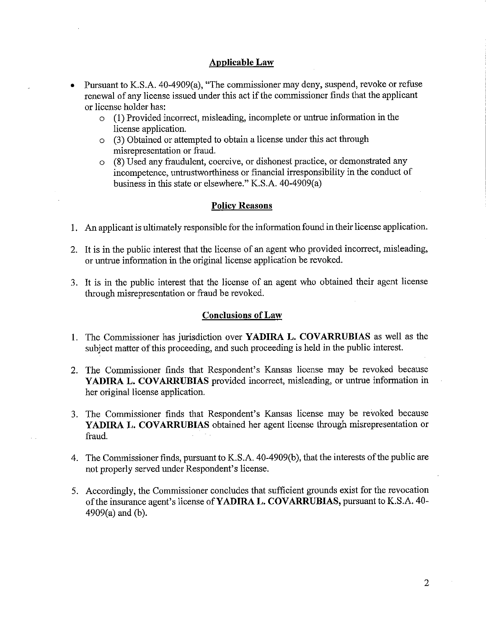### **Applicable Law**

- Pursuant to K.S.A. 40-4909(a), "The commissioner may deny, suspend, revoke or refuse renewal of any license issued under this act if the commissioner finds that the applicant or license holder has:
	- o (1) Provided incorrect, misleading, incomplete or untrue information in the license application.
	- o (3) Obtained or attempted to obtain a license under this act through misrepresentation or fraud.
	- o (8) Used any fraudulent, coercive, or dishonest practice, or demonstrated any incompetence, untrustworthiness or financial irresponsibility in the conduct of business in this state or elsewhere." K.S.A. 40-4909(a)

### **Policy Reasons**

- 1. An applicant is ultimately responsible for the information found in their license application.
- 2. It is in the public interest that the license of an agent who provided incorrect, misleading, or untrue information in the original license application be revoked.
- 3. It is in the public interest that the license of an agent who obtained their agent license through misrepresentation or fraud be revoked.

### **Conclusions of Law**

- 1. The Commissioner has jurisdiction over **YADIRA L. COVARRUBIAS** as well as the subject matter of this proceeding, and such proceeding is held in the public interest.
- 2. The Commissioner finds that Respondent's Kansas license may be revoked because **YADIRA L. COVARRUBIAS** provided incorrect, misleading, or untrue information in her original license application.
- 3. The Commissioner finds that Respondent's Kansas license may be revoked because **YADIRA L. COVARRUBIAS** obtained her agent license through misrepresentation or fraud.
- 4. The Commissioner finds, pursuant to K.S.A. 40-4909(b ), that the interests of the public are not properly served under Respondent's license.
- 5. Accordingly, the Commissioner concludes that sufficient grounds exist for the revocation of the insurance agent's license of **YADIRA L. COVARRUBIAS,** pursuant to K.S.A. 40- 4909(a) and (b).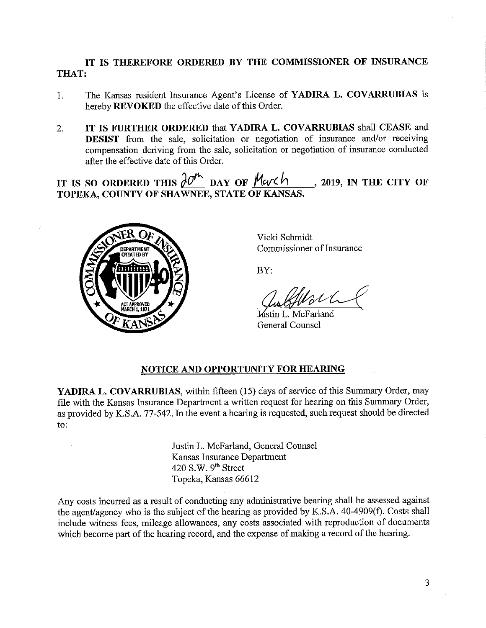## **IT IS THEREFORE ORDERED BY THE COMMISSIONER OF INSURANCE THAT:**

- 1. The Kansas resident Insurance Agent's License of **YADIRA L. COVARRUBIAS** is hereby **REVOKED** the effective date of this Order.
- 2. **IT IS FURTHER ORDERED** that **YADIRA L. COVARRUBIAS** shall **CEASE** and **DESIST** from the sale, solicitation or negotiation of insurance and/or receiving compensation deriving from the sale, solicitation or negotiation of insurance conducted after the effective date of this Order.

IT IS SO ORDERED THIS  $\partial\mathcal{O}^n$  DAY OF Merch **TOPEKA, COUNTY OF SHAWNEE, STATE OF KANSAS. 2019, IN THE CITY OF** 



Vicki Schmidt Commissioner of Insurance

BY:

BY:<br>Custofflot<br>Mustin L. McFarland

General Counsel

# **NOTICE AND OPPORTUNITY FOR HEARING**

**YADIRA L. COVARRUBIAS,** within fifteen (15) days of service of this Summary Order, may file with the Kansas Insurance Department a written request for hearing on this Summary Order, as provided by K.S.A. 77-542. In the event a hearing is requested, such request should be directed to:

> Justin L. McFarland, General Counsel Kansas Insurance Department 420 S.W.  $9<sup>th</sup>$  Street Topeka, Kansas 66612

Any costs incurred as a result of conducting any administrative hearing shall be assessed against the agent/agency who is the subject of the hearing as provided by K.S.A. 40-4909(f). Costs shall include witness fees, mileage allowances, any costs associated with reproduction of documents which become part of the hearing record, and the expense of making a record of the hearing.